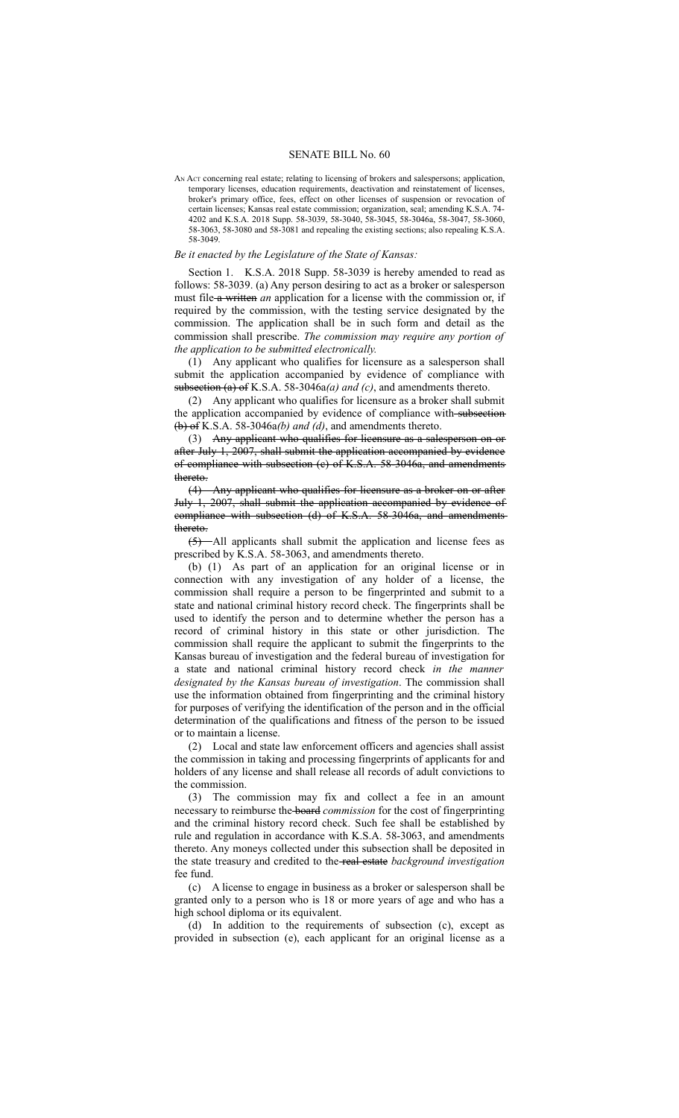## SENATE BILL No. 60

AN Act concerning real estate; relating to licensing of brokers and salespersons; application, temporary licenses, education requirements, deactivation and reinstatement of licenses, broker's primary office, fees, effect on other licenses of suspension or revocation of certain licenses; Kansas real estate commission; organization, seal; amending K.S.A. 74- 4202 and K.S.A. 2018 Supp. 58-3039, 58-3040, 58-3045, 58-3046a, 58-3047, 58-3060, 58-3063, 58-3080 and 58-3081 and repealing the existing sections; also repealing K.S.A. 58-3049.

#### *Be it enacted by the Legislature of the State of Kansas:*

Section 1. K.S.A. 2018 Supp. 58-3039 is hereby amended to read as follows: 58-3039. (a) Any person desiring to act as a broker or salesperson must file a written *an* application for a license with the commission or, if required by the commission, with the testing service designated by the commission. The application shall be in such form and detail as the commission shall prescribe. *The commission may require any portion of the application to be submitted electronically.*

(1) Any applicant who qualifies for licensure as a salesperson shall submit the application accompanied by evidence of compliance with subsection (a) of K.S.A. 58-3046a*(a) and (c)*, and amendments thereto.

(2) Any applicant who qualifies for licensure as a broker shall submit the application accompanied by evidence of compliance with subsection (b) of K.S.A. 58-3046a*(b) and (d)*, and amendments thereto.

(3) Any applicant who qualifies for licensure as a salesperson on or after July 1, 2007, shall submit the application accompanied by evidence of compliance with subsection (c) of K.S.A. 58-3046a, and amendments thereto.

(4) Any applicant who qualifies for licensure as a broker on or after July 1, 2007, shall submit the application accompanied by evidence of compliance with subsection (d) of K.S.A. 58-3046a, and amendments thereto.

(5) All applicants shall submit the application and license fees as prescribed by K.S.A. 58-3063, and amendments thereto.

(b) (1) As part of an application for an original license or in connection with any investigation of any holder of a license, the commission shall require a person to be fingerprinted and submit to a state and national criminal history record check. The fingerprints shall be used to identify the person and to determine whether the person has a record of criminal history in this state or other jurisdiction. The commission shall require the applicant to submit the fingerprints to the Kansas bureau of investigation and the federal bureau of investigation for a state and national criminal history record check *in the manner designated by the Kansas bureau of investigation*. The commission shall use the information obtained from fingerprinting and the criminal history for purposes of verifying the identification of the person and in the official determination of the qualifications and fitness of the person to be issued or to maintain a license.

(2) Local and state law enforcement officers and agencies shall assist the commission in taking and processing fingerprints of applicants for and holders of any license and shall release all records of adult convictions to the commission.

(3) The commission may fix and collect a fee in an amount necessary to reimburse the board *commission* for the cost of fingerprinting and the criminal history record check. Such fee shall be established by rule and regulation in accordance with K.S.A. 58-3063, and amendments thereto. Any moneys collected under this subsection shall be deposited in the state treasury and credited to the real estate *background investigation* fee fund.

(c) A license to engage in business as a broker or salesperson shall be granted only to a person who is 18 or more years of age and who has a high school diploma or its equivalent.

(d) In addition to the requirements of subsection (c), except as provided in subsection (e), each applicant for an original license as a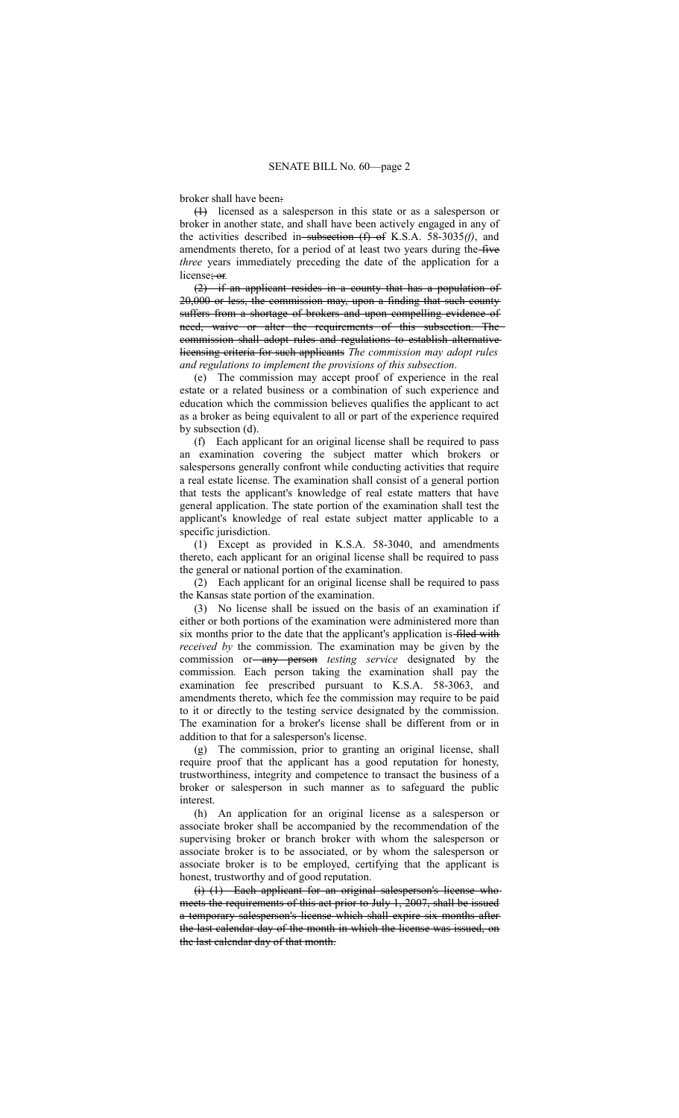broker shall have been:

(1) licensed as a salesperson in this state or as a salesperson or broker in another state, and shall have been actively engaged in any of the activities described in subsection (f) of K.S.A. 58-3035(f), and amendments thereto, for a period of at least two years during the five *three* years immediately preceding the date of the application for a license; or*.*

(2) if an applicant resides in a county that has a population of 20,000 or less, the commission may, upon a finding that such county suffers from a shortage of brokers and upon compelling evidence of need, waive or alter the requirements of this subsection. The commission shall adopt rules and regulations to establish alternative licensing criteria for such applicants *The commission may adopt rules and regulations to implement the provisions of this subsection*.

(e) The commission may accept proof of experience in the real estate or a related business or a combination of such experience and education which the commission believes qualifies the applicant to act as a broker as being equivalent to all or part of the experience required by subsection (d).

(f) Each applicant for an original license shall be required to pass an examination covering the subject matter which brokers or salespersons generally confront while conducting activities that require a real estate license. The examination shall consist of a general portion that tests the applicant's knowledge of real estate matters that have general application. The state portion of the examination shall test the applicant's knowledge of real estate subject matter applicable to a specific jurisdiction.

(1) Except as provided in K.S.A. 58-3040, and amendments thereto, each applicant for an original license shall be required to pass the general or national portion of the examination.

(2) Each applicant for an original license shall be required to pass the Kansas state portion of the examination.

(3) No license shall be issued on the basis of an examination if either or both portions of the examination were administered more than six months prior to the date that the applicant's application is filed with *received by* the commission. The examination may be given by the commission or any person *testing service* designated by the commission. Each person taking the examination shall pay the examination fee prescribed pursuant to K.S.A. 58-3063, and amendments thereto, which fee the commission may require to be paid to it or directly to the testing service designated by the commission. The examination for a broker's license shall be different from or in addition to that for a salesperson's license.

(g) The commission, prior to granting an original license, shall require proof that the applicant has a good reputation for honesty, trustworthiness, integrity and competence to transact the business of a broker or salesperson in such manner as to safeguard the public interest.

(h) An application for an original license as a salesperson or associate broker shall be accompanied by the recommendation of the supervising broker or branch broker with whom the salesperson or associate broker is to be associated, or by whom the salesperson or associate broker is to be employed, certifying that the applicant is honest, trustworthy and of good reputation.

(i) (1) Each applicant for an original salesperson's license who meets the requirements of this act prior to July 1, 2007, shall be issued a temporary salesperson's license which shall expire six months after the last calendar day of the month in which the license was issued, on the last calendar day of that month.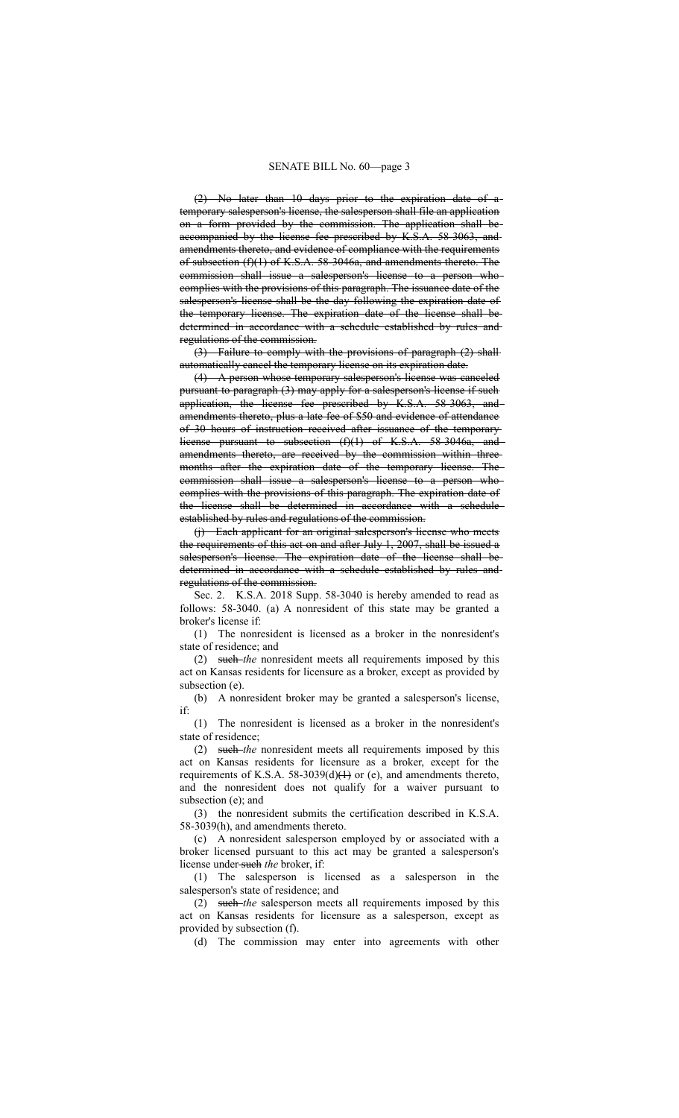(2) No later than 10 days prior to the expiration date of a temporary salesperson's license, the salesperson shall file an application on a form provided by the commission. The application shall be accompanied by the license fee prescribed by K.S.A. 58-3063, and amendments thereto, and evidence of compliance with the requirements of subsection (f)(1) of K.S.A. 58-3046a, and amendments thereto. The commission shall issue a salesperson's license to a person who complies with the provisions of this paragraph. The issuance date of the salesperson's license shall be the day following the expiration date of the temporary license. The expiration date of the license shall be determined in accordance with a schedule established by rules and regulations of the commission.

(3) Failure to comply with the provisions of paragraph (2) shall automatically cancel the temporary license on its expiration date.

(4) A person whose temporary salesperson's license was canceled pursuant to paragraph (3) may apply for a salesperson's license if such application, the license fee prescribed by K.S.A. 58-3063, and amendments thereto, plus a late fee of \$50 and evidence of attendance of 30 hours of instruction received after issuance of the temporary license pursuant to subsection (f)(1) of K.S.A. 58-3046a, and amendments thereto, are received by the commission within threemonths after the expiration date of the temporary license. The commission shall issue a salesperson's license to a person who complies with the provisions of this paragraph. The expiration date of the license shall be determined in accordance with a schedule established by rules and regulations of the commission.

(j) Each applicant for an original salesperson's license who meets the requirements of this act on and after July 1, 2007, shall be issued a salesperson's license. The expiration date of the license shall be determined in accordance with a schedule established by rules and regulations of the commission.

Sec. 2. K.S.A. 2018 Supp. 58-3040 is hereby amended to read as follows: 58-3040. (a) A nonresident of this state may be granted a broker's license if:

(1) The nonresident is licensed as a broker in the nonresident's state of residence; and

(2) such *the* nonresident meets all requirements imposed by this act on Kansas residents for licensure as a broker, except as provided by subsection (e).

(b) A nonresident broker may be granted a salesperson's license, if:

(1) The nonresident is licensed as a broker in the nonresident's state of residence;

(2) such *the* nonresident meets all requirements imposed by this act on Kansas residents for licensure as a broker, except for the requirements of K.S.A. 58-3039(d) $(1)$  or (e), and amendments thereto, and the nonresident does not qualify for a waiver pursuant to subsection (e); and

(3) the nonresident submits the certification described in K.S.A. 58-3039(h), and amendments thereto.

(c) A nonresident salesperson employed by or associated with a broker licensed pursuant to this act may be granted a salesperson's license under such *the* broker, if:

(1) The salesperson is licensed as a salesperson in the salesperson's state of residence; and

(2) such *the* salesperson meets all requirements imposed by this act on Kansas residents for licensure as a salesperson, except as provided by subsection (f).

(d) The commission may enter into agreements with other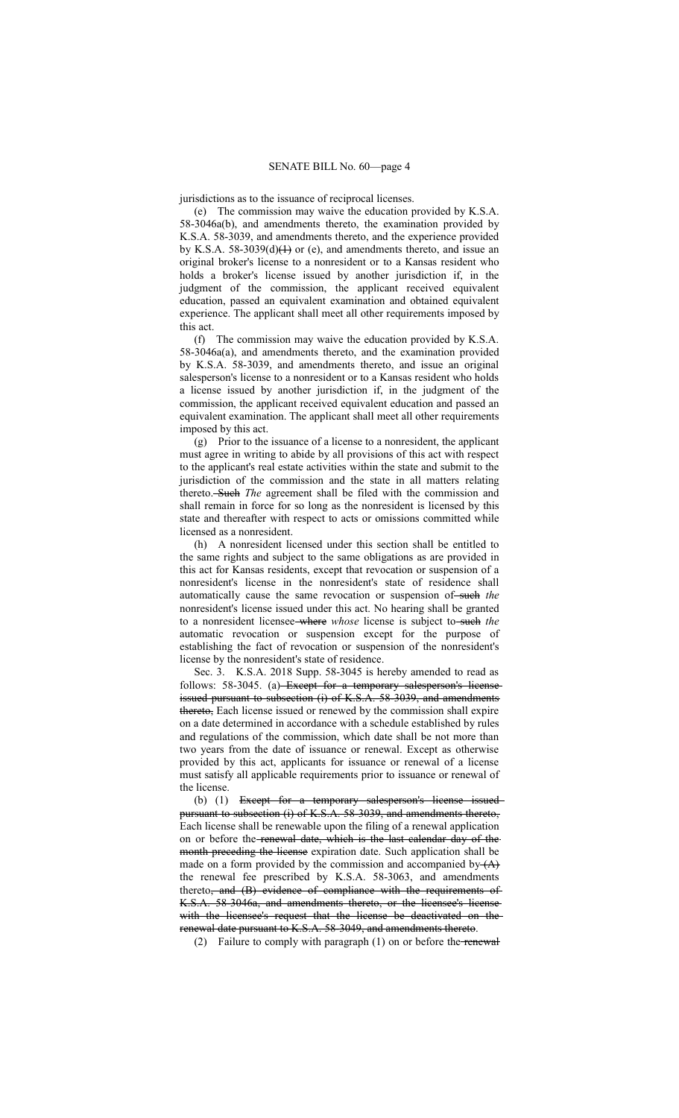jurisdictions as to the issuance of reciprocal licenses.

(e) The commission may waive the education provided by K.S.A. 58-3046a(b), and amendments thereto, the examination provided by K.S.A. 58-3039, and amendments thereto, and the experience provided by K.S.A. 58-3039(d) $(1)$  or (e), and amendments thereto, and issue an original broker's license to a nonresident or to a Kansas resident who holds a broker's license issued by another jurisdiction if, in the judgment of the commission, the applicant received equivalent education, passed an equivalent examination and obtained equivalent experience. The applicant shall meet all other requirements imposed by this act.

(f) The commission may waive the education provided by K.S.A. 58-3046a(a), and amendments thereto, and the examination provided by K.S.A. 58-3039, and amendments thereto, and issue an original salesperson's license to a nonresident or to a Kansas resident who holds a license issued by another jurisdiction if, in the judgment of the commission, the applicant received equivalent education and passed an equivalent examination. The applicant shall meet all other requirements imposed by this act.

(g) Prior to the issuance of a license to a nonresident, the applicant must agree in writing to abide by all provisions of this act with respect to the applicant's real estate activities within the state and submit to the jurisdiction of the commission and the state in all matters relating thereto. Such *The* agreement shall be filed with the commission and shall remain in force for so long as the nonresident is licensed by this state and thereafter with respect to acts or omissions committed while licensed as a nonresident.

(h) A nonresident licensed under this section shall be entitled to the same rights and subject to the same obligations as are provided in this act for Kansas residents, except that revocation or suspension of a nonresident's license in the nonresident's state of residence shall automatically cause the same revocation or suspension of such the nonresident's license issued under this act. No hearing shall be granted to a nonresident licensee where *whose* license is subject to such *the* automatic revocation or suspension except for the purpose of establishing the fact of revocation or suspension of the nonresident's license by the nonresident's state of residence.

Sec. 3. K.S.A. 2018 Supp. 58-3045 is hereby amended to read as follows: 58-3045. (a) Except for a temporary salesperson's license issued pursuant to subsection (i) of K.S.A. 58-3039, and amendments thereto, Each license issued or renewed by the commission shall expire on a date determined in accordance with a schedule established by rules and regulations of the commission, which date shall be not more than two years from the date of issuance or renewal. Except as otherwise provided by this act, applicants for issuance or renewal of a license must satisfy all applicable requirements prior to issuance or renewal of the license.

(b) (1) Except for a temporary salesperson's license issuedpursuant to subsection (i) of K.S.A. 58-3039, and amendments thereto, Each license shall be renewable upon the filing of a renewal application on or before the renewal date, which is the last calendar day of the month preceding the license expiration date. Such application shall be made on a form provided by the commission and accompanied by  $(A)$ the renewal fee prescribed by K.S.A. 58-3063, and amendments thereto<del>, and (B) evidence of compliance with the requirements of</del> K.S.A. 58-3046a, and amendments thereto, or the licensee's license with the licensee's request that the license be deactivated on the renewal date pursuant to K.S.A. 58-3049, and amendments thereto.

(2) Failure to comply with paragraph  $(1)$  on or before the renewal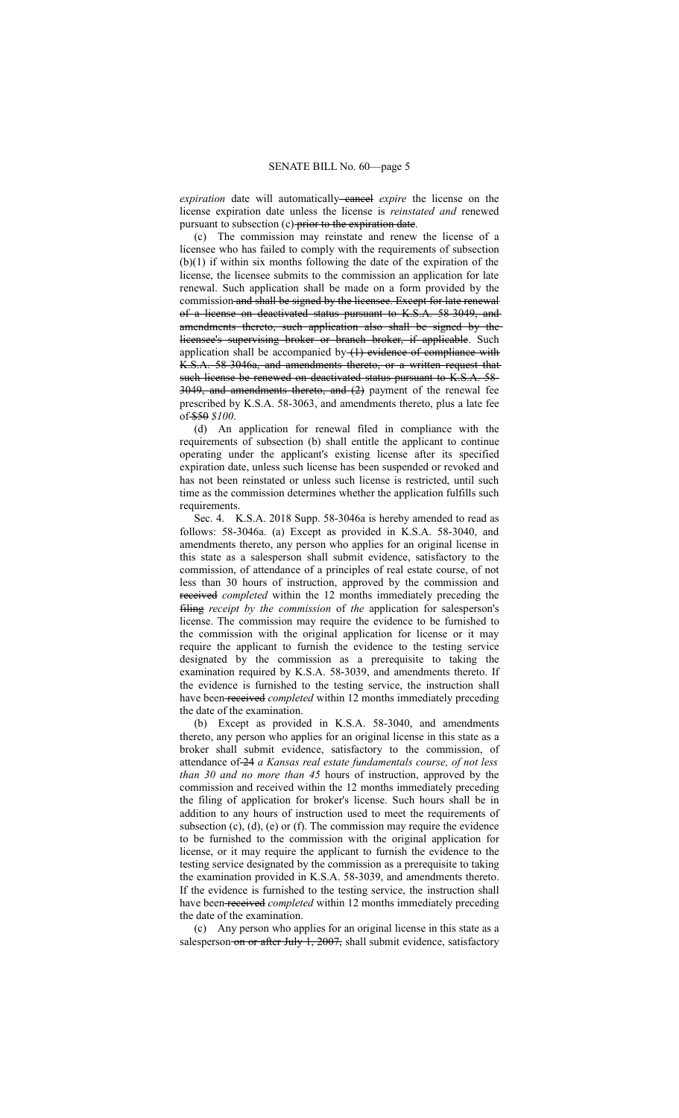*expiration* date will automatically-eaneel *expire* the license on the license expiration date unless the license is *reinstated and* renewed pursuant to subsection (c) prior to the expiration date.

(c) The commission may reinstate and renew the license of a licensee who has failed to comply with the requirements of subsection (b)(1) if within six months following the date of the expiration of the license, the licensee submits to the commission an application for late renewal. Such application shall be made on a form provided by the commission and shall be signed by the licensee. Except for late renewal of a license on deactivated status pursuant to K.S.A. 58-3049, and amendments thereto, such application also shall be signed by the licensee's supervising broker or branch broker, if applicable. Such application shall be accompanied by- $(1)$  evidence of compliance with K.S.A. 58-3046a, and amendments thereto, or a written request that such license be renewed on deactivated status pursuant to K.S.A. 58- 3049, and amendments thereto, and (2) payment of the renewal fee prescribed by K.S.A. 58-3063, and amendments thereto, plus a late fee of \$50 *\$100*.

(d) An application for renewal filed in compliance with the requirements of subsection (b) shall entitle the applicant to continue operating under the applicant's existing license after its specified expiration date, unless such license has been suspended or revoked and has not been reinstated or unless such license is restricted, until such time as the commission determines whether the application fulfills such requirements.

Sec. 4. K.S.A. 2018 Supp. 58-3046a is hereby amended to read as follows: 58-3046a. (a) Except as provided in K.S.A. 58-3040, and amendments thereto, any person who applies for an original license in this state as a salesperson shall submit evidence, satisfactory to the commission, of attendance of a principles of real estate course, of not less than 30 hours of instruction, approved by the commission and received *completed* within the 12 months immediately preceding the filing *receipt by the commission* of *the* application for salesperson's license. The commission may require the evidence to be furnished to the commission with the original application for license or it may require the applicant to furnish the evidence to the testing service designated by the commission as a prerequisite to taking the examination required by K.S.A. 58-3039, and amendments thereto. If the evidence is furnished to the testing service, the instruction shall have been received *completed* within 12 months immediately preceding the date of the examination.

(b) Except as provided in K.S.A. 58-3040, and amendments thereto, any person who applies for an original license in this state as a broker shall submit evidence, satisfactory to the commission, of attendance of 24 *a Kansas real estate fundamentals course, of not less than 30 and no more than 45* hours of instruction, approved by the commission and received within the 12 months immediately preceding the filing of application for broker's license. Such hours shall be in addition to any hours of instruction used to meet the requirements of subsection (c), (d), (e) or (f). The commission may require the evidence to be furnished to the commission with the original application for license, or it may require the applicant to furnish the evidence to the testing service designated by the commission as a prerequisite to taking the examination provided in K.S.A. 58-3039, and amendments thereto. If the evidence is furnished to the testing service, the instruction shall have been received *completed* within 12 months immediately preceding the date of the examination.

(c) Any person who applies for an original license in this state as a salesperson-on or after July 1, 2007, shall submit evidence, satisfactory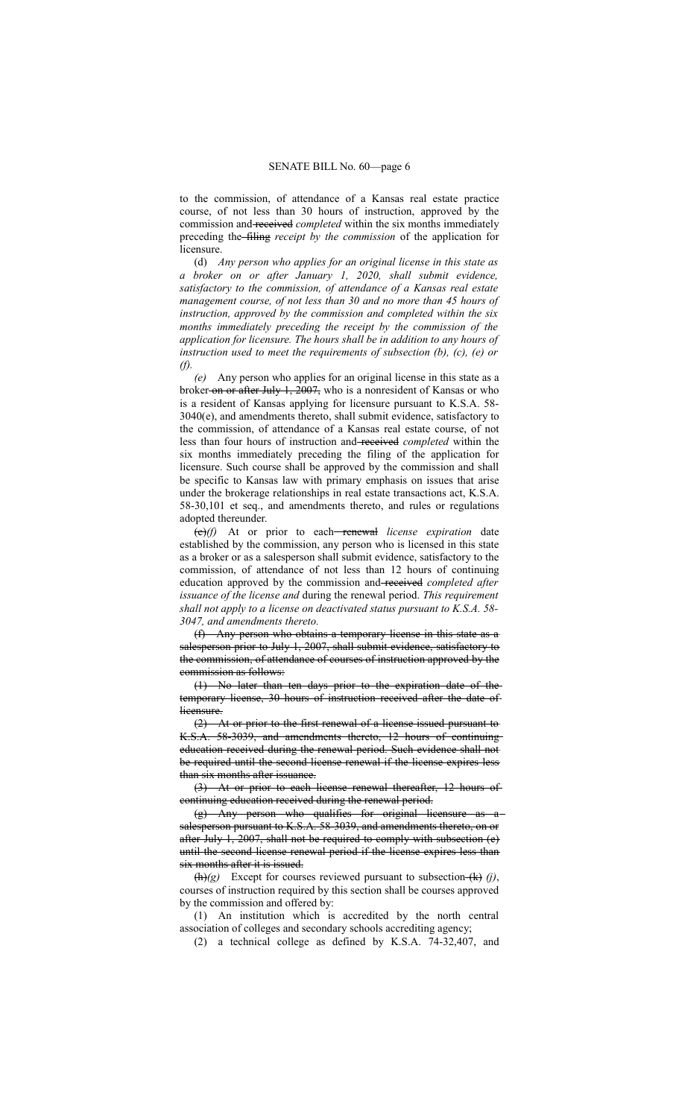to the commission, of attendance of a Kansas real estate practice course, of not less than 30 hours of instruction, approved by the commission and received *completed* within the six months immediately preceding the filing *receipt by the commission* of the application for licensure.

(d) *Any person who applies for an original license in this state as a broker on or after January 1, 2020, shall submit evidence, satisfactory to the commission, of attendance of a Kansas real estate management course, of not less than 30 and no more than 45 hours of instruction, approved by the commission and completed within the six months immediately preceding the receipt by the commission of the application for licensure. The hours shall be in addition to any hours of instruction used to meet the requirements of subsection (b), (c), (e) or (f).*

*(e)* Any person who applies for an original license in this state as a broker on or after July 1, 2007, who is a nonresident of Kansas or who is a resident of Kansas applying for licensure pursuant to K.S.A. 58- 3040(e), and amendments thereto, shall submit evidence, satisfactory to the commission, of attendance of a Kansas real estate course, of not less than four hours of instruction and received *completed* within the six months immediately preceding the filing of the application for licensure. Such course shall be approved by the commission and shall be specific to Kansas law with primary emphasis on issues that arise under the brokerage relationships in real estate transactions act, K.S.A. 58-30,101 et seq., and amendments thereto, and rules or regulations adopted thereunder.

(e)*(f)* At or prior to each renewal *license expiration* date established by the commission, any person who is licensed in this state as a broker or as a salesperson shall submit evidence, satisfactory to the commission, of attendance of not less than 12 hours of continuing education approved by the commission and received *completed after issuance of the license and* during the renewal period. *This requirement shall not apply to a license on deactivated status pursuant to K.S.A. 58- 3047, and amendments thereto.*

(f) Any person who obtains a temporary license in this state as a salesperson prior to July 1, 2007, shall submit evidence, satisfactory to the commission, of attendance of courses of instruction approved by the commission as follows:

(1) No later than ten days prior to the expiration date of the temporary license, 30 hours of instruction received after the date of licensure.

(2) At or prior to the first renewal of a license issued pursuant to K.S.A. 58-3039, and amendments thereto, 12 hours of continuing education received during the renewal period. Such evidence shall not be required until the second license renewal if the license expires less than six months after issuance.

(3) At or prior to each license renewal thereafter, 12 hours of continuing education received during the renewal period.

 $(g)$  Any person who qualifies for original licensure salesperson pursuant to K.S.A. 58-3039, and amendments thereto, on or after July 1, 2007, shall not be required to comply with subsection (e) until the second license renewal period if the license expires less than six months after it is issued.

 $(\text{h})(g)$  Except for courses reviewed pursuant to subsection  $(\text{k})$  (j), courses of instruction required by this section shall be courses approved by the commission and offered by:

(1) An institution which is accredited by the north central association of colleges and secondary schools accrediting agency;

(2) a technical college as defined by K.S.A. 74-32,407, and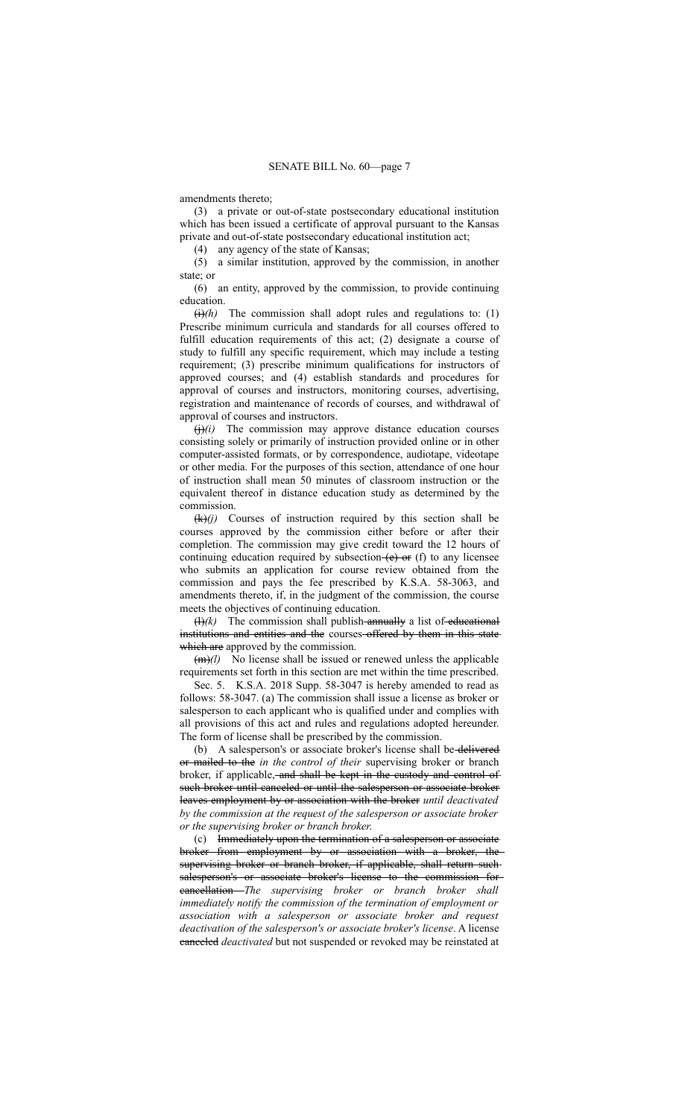amendments thereto;

(3) a private or out-of-state postsecondary educational institution which has been issued a certificate of approval pursuant to the Kansas private and out-of-state postsecondary educational institution act;

(4) any agency of the state of Kansas;

(5) a similar institution, approved by the commission, in another state; or

(6) an entity, approved by the commission, to provide continuing education.

 $\overrightarrow{(h)}$  The commission shall adopt rules and regulations to: (1) Prescribe minimum curricula and standards for all courses offered to fulfill education requirements of this act; (2) designate a course of study to fulfill any specific requirement, which may include a testing requirement; (3) prescribe minimum qualifications for instructors of approved courses; and (4) establish standards and procedures for approval of courses and instructors, monitoring courses, advertising, registration and maintenance of records of courses, and withdrawal of approval of courses and instructors.

 $(j)(i)$  The commission may approve distance education courses consisting solely or primarily of instruction provided online or in other computer-assisted formats, or by correspondence, audiotape, videotape or other media. For the purposes of this section, attendance of one hour of instruction shall mean 50 minutes of classroom instruction or the equivalent thereof in distance education study as determined by the commission.

 $(k)(j)$  Courses of instruction required by this section shall be courses approved by the commission either before or after their completion. The commission may give credit toward the 12 hours of continuing education required by subsection  $(e)$  or (f) to any licensee who submits an application for course review obtained from the commission and pays the fee prescribed by K.S.A. 58-3063, and amendments thereto, if, in the judgment of the commission, the course meets the objectives of continuing education.

 $(H)(k)$  The commission shall publish-annually a list of-educational institutions and entities and the courses offered by them in this state which are approved by the commission.

 $(m)(l)$  No license shall be issued or renewed unless the applicable requirements set forth in this section are met within the time prescribed.

Sec. 5. K.S.A. 2018 Supp. 58-3047 is hereby amended to read as follows: 58-3047. (a) The commission shall issue a license as broker or salesperson to each applicant who is qualified under and complies with all provisions of this act and rules and regulations adopted hereunder. The form of license shall be prescribed by the commission.

(b) A salesperson's or associate broker's license shall be delivered or mailed to the *in the control of their* supervising broker or branch broker, if applicable, and shall be kept in the custody and control of such broker until canceled or until the salesperson or associate broker leaves employment by or association with the broker *until deactivated by the commission at the request of the salesperson or associate broker or the supervising broker or branch broker*.

(c) Immediately upon the termination of a salesperson or associate broker from employment by or association with a broker, the supervising broker or branch broker, if applicable, shall return suchsalesperson's or associate broker's license to the commission for cancellation *The supervising broker or branch broker shall immediately notify the commission of the termination of employment or association with a salesperson or associate broker and request deactivation of the salesperson's or associate broker's license*. A license canceled *deactivated* but not suspended or revoked may be reinstated at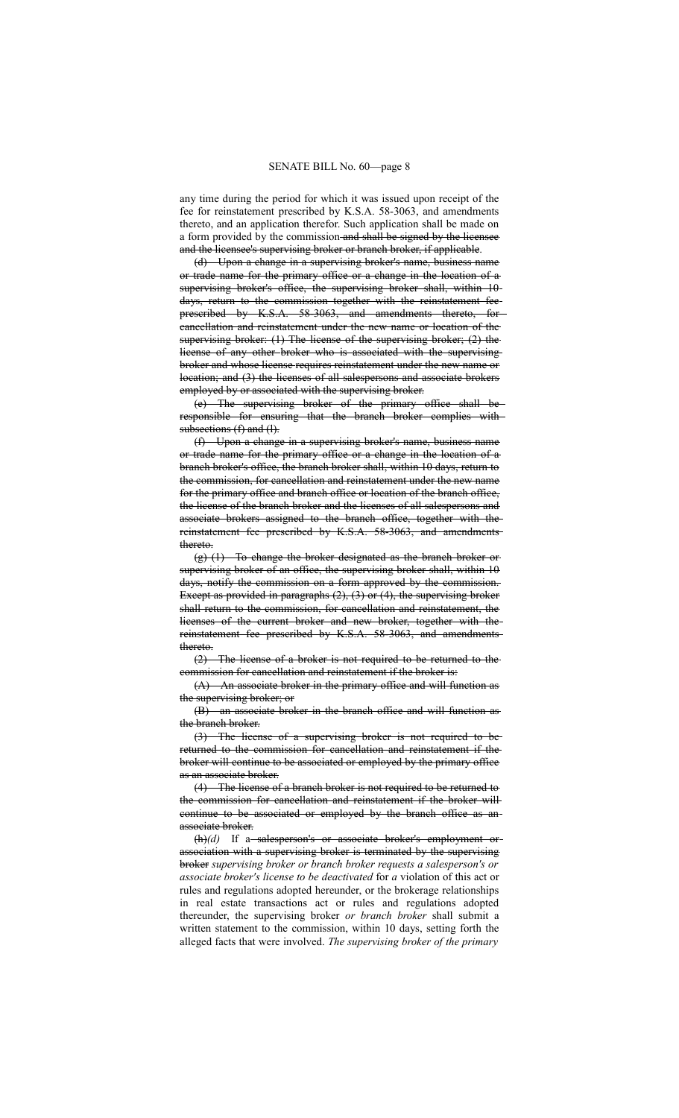any time during the period for which it was issued upon receipt of the fee for reinstatement prescribed by K.S.A. 58-3063, and amendments thereto, and an application therefor. Such application shall be made on a form provided by the commission-and shall be signed by the licensee and the licensee's supervising broker or branch broker, if applicable.

(d) Upon a change in a supervising broker's name, business name or trade name for the primary office or a change in the location of a supervising broker's office, the supervising broker shall, within 10days, return to the commission together with the reinstatement fee prescribed by K.S.A. 58-3063, and amendments thereto, for cancellation and reinstatement under the new name or location of the supervising broker: (1) The license of the supervising broker; (2) the license of any other broker who is associated with the supervising broker and whose license requires reinstatement under the new name or location; and (3) the licenses of all salespersons and associate brokers employed by or associated with the supervising broker.

(e) The supervising broker of the primary office shall be responsible for ensuring that the branch broker complies with subsections (f) and (l).

(f) Upon a change in a supervising broker's name, business name or trade name for the primary office or a change in the location of a branch broker's office, the branch broker shall, within 10 days, return to the commission, for cancellation and reinstatement under the new name for the primary office and branch office or location of the branch office, the license of the branch broker and the licenses of all salespersons and associate brokers assigned to the branch office, together with the reinstatement fee prescribed by K.S.A. 58-3063, and amendments thereto.

(g) (1) To change the broker designated as the branch broker or supervising broker of an office, the supervising broker shall, within 10 days, notify the commission on a form approved by the commission. Except as provided in paragraphs (2), (3) or (4), the supervising broker shall return to the commission, for cancellation and reinstatement, the licenses of the current broker and new broker, together with the reinstatement fee prescribed by K.S.A. 58-3063, and amendments thereto.

(2) The license of a broker is not required to be returned to the commission for cancellation and reinstatement if the broker is:

(A) An associate broker in the primary office and will function as the supervising broker; or

(B) an associate broker in the branch office and will function as the branch broker.

(3) The license of a supervising broker is not required to be returned to the commission for cancellation and reinstatement if the broker will continue to be associated or employed by the primary office as an associate broker.

(4) The license of a branch broker is not required to be returned to the commission for cancellation and reinstatement if the broker will continue to be associated or employed by the branch office as an associate broker.

(h)(d) If a-salesperson's or associate broker's employment orassociation with a supervising broker is terminated by the supervising broker *supervising broker or branch broker requests a salesperson's or associate broker's license to be deactivated* for *a* violation of this act or rules and regulations adopted hereunder, or the brokerage relationships in real estate transactions act or rules and regulations adopted thereunder, the supervising broker *or branch broker* shall submit a written statement to the commission, within 10 days, setting forth the alleged facts that were involved. *The supervising broker of the primary*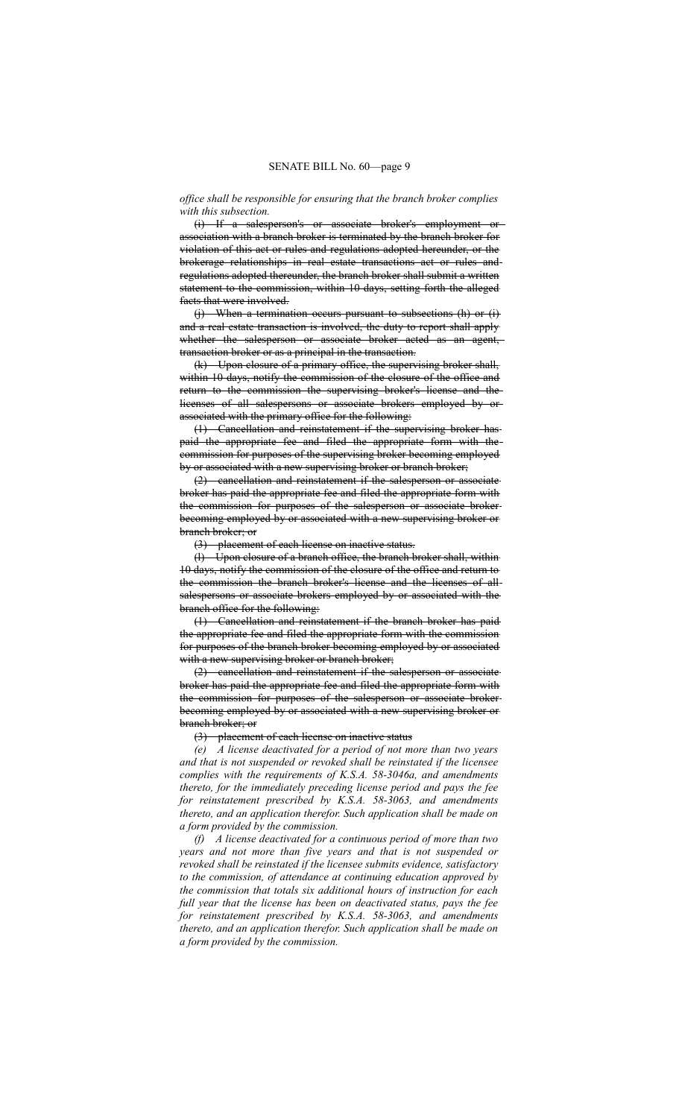## *office shall be responsible for ensuring that the branch broker complies with this subsection.*

(i) If a salesperson's or associate broker's employment or association with a branch broker is terminated by the branch broker for violation of this act or rules and regulations adopted hereunder, or the brokerage relationships in real estate transactions act or rules and regulations adopted thereunder, the branch broker shall submit a written statement to the commission, within 10 days, setting forth the alleged facts that were involved.

(j) When a termination occurs pursuant to subsections (h) or (i) and a real estate transaction is involved, the duty to report shall apply whether the salesperson or associate broker acted as an agent, transaction broker or as a principal in the transaction.

(k) Upon closure of a primary office, the supervising broker shall, within 10 days, notify the commission of the closure of the office and return to the commission the supervising broker's license and the licenses of all salespersons or associate brokers employed by or associated with the primary office for the following:

(1) Cancellation and reinstatement if the supervising broker has paid the appropriate fee and filed the appropriate form with the commission for purposes of the supervising broker becoming employed by or associated with a new supervising broker or branch broker;

(2) cancellation and reinstatement if the salesperson or associate broker has paid the appropriate fee and filed the appropriate form with the commission for purposes of the salesperson or associate broker becoming employed by or associated with a new supervising broker or branch broker; or

(3) placement of each license on inactive status.

(l) Upon closure of a branch office, the branch broker shall, within 10 days, notify the commission of the closure of the office and return to the commission the branch broker's license and the licenses of all salespersons or associate brokers employed by or associated with the branch office for the following:

(1) Cancellation and reinstatement if the branch broker has paid the appropriate fee and filed the appropriate form with the commission for purposes of the branch broker becoming employed by or associated with a new supervising broker or branch broker;

(2) cancellation and reinstatement if the salesperson or associate broker has paid the appropriate fee and filed the appropriate form with the commission for purposes of the salesperson or associate broker becoming employed by or associated with a new supervising broker or branch broker; or

#### (3) placement of each license on inactive status

*(e) A license deactivated for a period of not more than two years and that is not suspended or revoked shall be reinstated if the licensee complies with the requirements of K.S.A. 58-3046a, and amendments thereto, for the immediately preceding license period and pays the fee for reinstatement prescribed by K.S.A. 58-3063, and amendments thereto, and an application therefor. Such application shall be made on a form provided by the commission.*

*(f) A license deactivated for a continuous period of more than two years and not more than five years and that is not suspended or revoked shall be reinstated if the licensee submits evidence, satisfactory to the commission, of attendance at continuing education approved by the commission that totals six additional hours of instruction for each full year that the license has been on deactivated status, pays the fee for reinstatement prescribed by K.S.A. 58-3063, and amendments thereto, and an application therefor. Such application shall be made on a form provided by the commission.*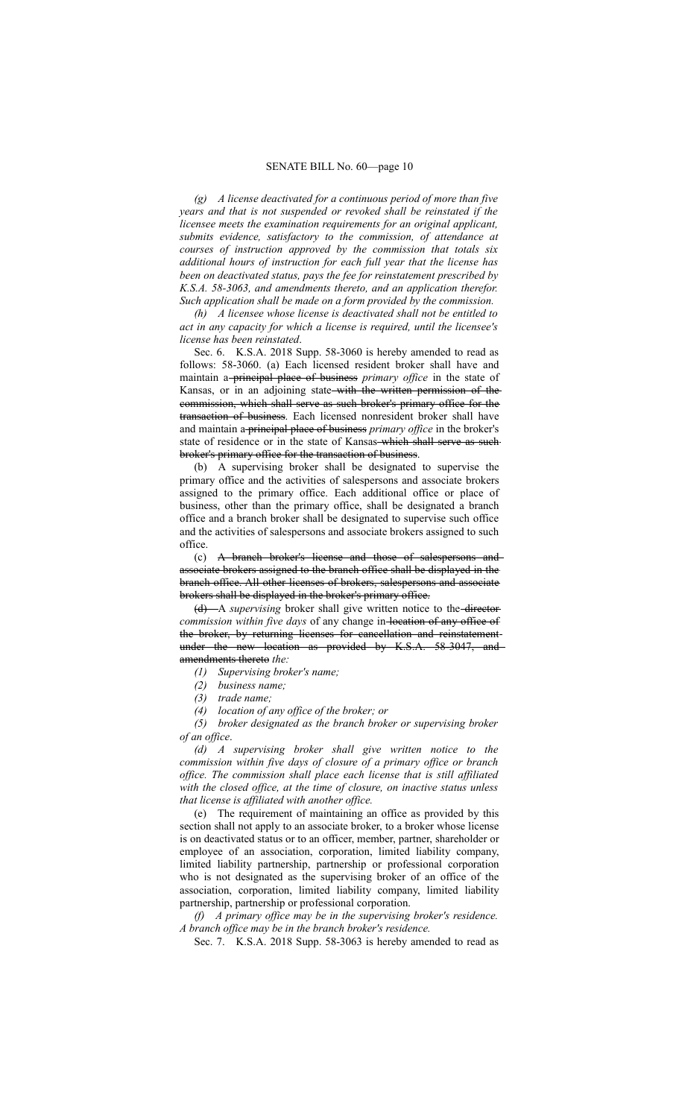*(g) A license deactivated for a continuous period of more than five years and that is not suspended or revoked shall be reinstated if the licensee meets the examination requirements for an original applicant, submits evidence, satisfactory to the commission, of attendance at courses of instruction approved by the commission that totals six additional hours of instruction for each full year that the license has been on deactivated status, pays the fee for reinstatement prescribed by K.S.A. 58-3063, and amendments thereto, and an application therefor. Such application shall be made on a form provided by the commission.*

*(h) A licensee whose license is deactivated shall not be entitled to act in any capacity for which a license is required, until the licensee's license has been reinstated*.

Sec. 6. K.S.A. 2018 Supp. 58-3060 is hereby amended to read as follows: 58-3060. (a) Each licensed resident broker shall have and maintain a principal place of business *primary office* in the state of Kansas, or in an adjoining state with the written permission of the commission, which shall serve as such broker's primary office for the transaction of business. Each licensed nonresident broker shall have and maintain a principal place of business *primary office* in the broker's state of residence or in the state of Kansas-which shall serve as such broker's primary office for the transaction of business.

(b) A supervising broker shall be designated to supervise the primary office and the activities of salespersons and associate brokers assigned to the primary office. Each additional office or place of business, other than the primary office, shall be designated a branch office and a branch broker shall be designated to supervise such office and the activities of salespersons and associate brokers assigned to such office.

(c) A branch broker's license and those of salespersons and associate brokers assigned to the branch office shall be displayed in the branch office. All other licenses of brokers, salespersons and associate brokers shall be displayed in the broker's primary office.

(d) A *supervising* broker shall give written notice to the director commission within five days of any change in-location of any office of the broker, by returning licenses for cancellation and reinstatement under the new location as provided by K.S.A. 58-3047, and amendments thereto *the:*

- *(1) Supervising broker's name;*
- *(2) business name;*
- *(3) trade name;*
- *(4) location of any office of the broker; or*

*(5) broker designated as the branch broker or supervising broker of an office*.

*(d) A supervising broker shall give written notice to the commission within five days of closure of a primary office or branch office. The commission shall place each license that is still affiliated with the closed office, at the time of closure, on inactive status unless that license is affiliated with another office.*

(e) The requirement of maintaining an office as provided by this section shall not apply to an associate broker, to a broker whose license is on deactivated status or to an officer, member, partner, shareholder or employee of an association, corporation, limited liability company, limited liability partnership, partnership or professional corporation who is not designated as the supervising broker of an office of the association, corporation, limited liability company, limited liability partnership, partnership or professional corporation.

*(f) A primary office may be in the supervising broker's residence. A branch office may be in the branch broker's residence.*

Sec. 7. K.S.A. 2018 Supp. 58-3063 is hereby amended to read as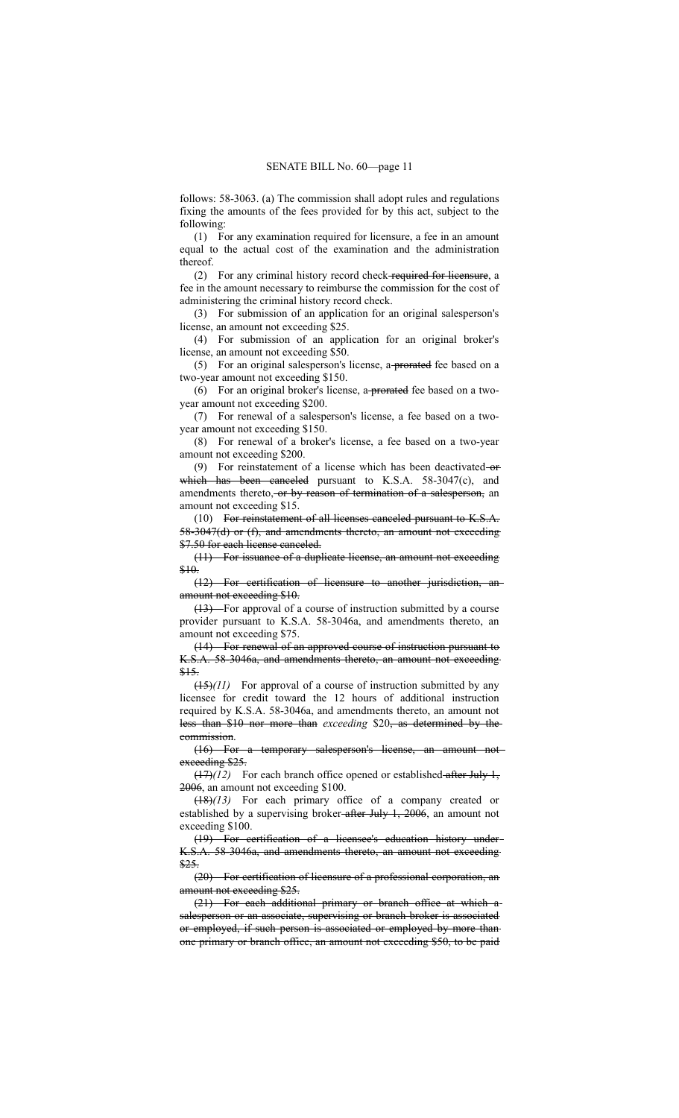follows: 58-3063. (a) The commission shall adopt rules and regulations fixing the amounts of the fees provided for by this act, subject to the following:

(1) For any examination required for licensure, a fee in an amount equal to the actual cost of the examination and the administration thereof.

(2) For any criminal history record check required for licensure, a fee in the amount necessary to reimburse the commission for the cost of administering the criminal history record check.

(3) For submission of an application for an original salesperson's license, an amount not exceeding \$25.

(4) For submission of an application for an original broker's license, an amount not exceeding \$50.

(5) For an original salesperson's license, a-prorated fee based on a two-year amount not exceeding \$150.

(6) For an original broker's license, a prorated fee based on a twoyear amount not exceeding \$200.

(7) For renewal of a salesperson's license, a fee based on a twoyear amount not exceeding \$150.

(8) For renewal of a broker's license, a fee based on a two-year amount not exceeding \$200.

(9) For reinstatement of a license which has been deactivated-or which has been canceled pursuant to K.S.A. 58-3047(c), and amendments thereto, or by reason of termination of a salesperson, an amount not exceeding \$15.

(10) For reinstatement of all licenses canceled pursuant to K.S.A. 58-3047(d) or (f), and amendments thereto, an amount not exceeding \$7.50 for each license canceled.

(11) For issuance of a duplicate license, an amount not exceeding \$10.

(12) For certification of licensure to another jurisdiction, an amount not exceeding \$10.

(13) For approval of a course of instruction submitted by a course provider pursuant to K.S.A. 58-3046a, and amendments thereto, an amount not exceeding \$75.

(14) For renewal of an approved course of instruction pursuant to K.S.A. 58-3046a, and amendments thereto, an amount not exceeding \$15.

(15)*(11)* For approval of a course of instruction submitted by any licensee for credit toward the 12 hours of additional instruction required by K.S.A. 58-3046a, and amendments thereto, an amount not less than \$10 nor more than *exceeding* \$20, as determined by the commission.

(16) For a temporary salesperson's license, an amount not exceeding \$25.

 $(17)(12)$  For each branch office opened or established-after July 1, 2006, an amount not exceeding \$100.

(18)*(13)* For each primary office of a company created or established by a supervising broker-after July 1, 2006, an amount not exceeding \$100.

(19) For certification of a licensee's education history under K.S.A. 58-3046a, and amendments thereto, an amount not exceeding \$25.

(20) For certification of licensure of a professional corporation, an amount not exceeding \$25.

(21) For each additional primary or branch office at which a salesperson or an associate, supervising or branch broker is associated or employed, if such person is associated or employed by more than one primary or branch office, an amount not exceeding \$50, to be paid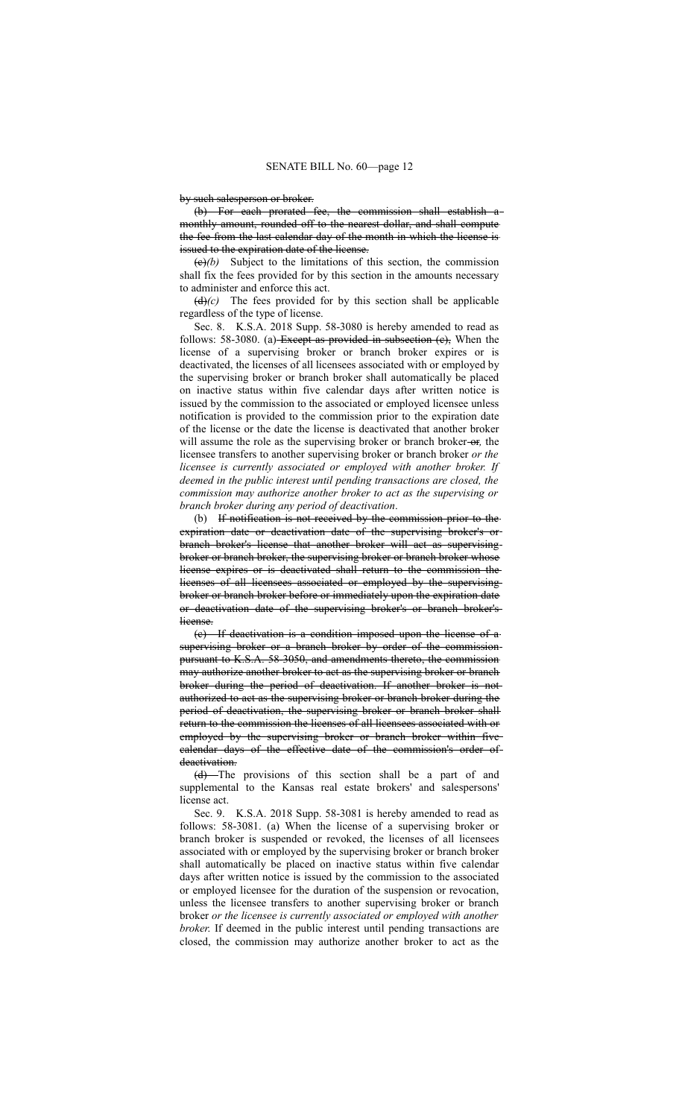by such salesperson or broker.

(b) For each prorated fee, the commission shall establish monthly amount, rounded off to the nearest dollar, and shall compute the fee from the last calendar day of the month in which the license is issued to the expiration date of the license.

 $(e)(b)$  Subject to the limitations of this section, the commission shall fix the fees provided for by this section in the amounts necessary to administer and enforce this act.

 $(d)$  (c) The fees provided for by this section shall be applicable regardless of the type of license.

Sec. 8. K.S.A. 2018 Supp. 58-3080 is hereby amended to read as follows: 58-3080. (a) Except as provided in subsection  $(e)$ , When the license of a supervising broker or branch broker expires or is deactivated, the licenses of all licensees associated with or employed by the supervising broker or branch broker shall automatically be placed on inactive status within five calendar days after written notice is issued by the commission to the associated or employed licensee unless notification is provided to the commission prior to the expiration date of the license or the date the license is deactivated that another broker will assume the role as the supervising broker or branch broker-or, the licensee transfers to another supervising broker or branch broker *or the licensee is currently associated or employed with another broker. If deemed in the public interest until pending transactions are closed, the commission may authorize another broker to act as the supervising or branch broker during any period of deactivation*.

(b) If notification is not received by the commission prior to the expiration date or deactivation date of the supervising broker's or branch broker's license that another broker will act as supervising broker or branch broker, the supervising broker or branch broker whose license expires or is deactivated shall return to the commission the licenses of all licensees associated or employed by the supervising broker or branch broker before or immediately upon the expiration date or deactivation date of the supervising broker's or branch broker's license.

(c) If deactivation is a condition imposed upon the license of a supervising broker or a branch broker by order of the commissionpursuant to K.S.A. 58-3050, and amendments thereto, the commission may authorize another broker to act as the supervising broker or branch broker during the period of deactivation. If another broker is not authorized to act as the supervising broker or branch broker during the period of deactivation, the supervising broker or branch broker shall return to the commission the licenses of all licensees associated with or employed by the supervising broker or branch broker within five calendar days of the effective date of the commission's order of deactivation.

(d) The provisions of this section shall be a part of and supplemental to the Kansas real estate brokers' and salespersons' license act.

Sec. 9. K.S.A. 2018 Supp. 58-3081 is hereby amended to read as follows: 58-3081. (a) When the license of a supervising broker or branch broker is suspended or revoked, the licenses of all licensees associated with or employed by the supervising broker or branch broker shall automatically be placed on inactive status within five calendar days after written notice is issued by the commission to the associated or employed licensee for the duration of the suspension or revocation, unless the licensee transfers to another supervising broker or branch broker *or the licensee is currently associated or employed with another broker*. If deemed in the public interest until pending transactions are closed, the commission may authorize another broker to act as the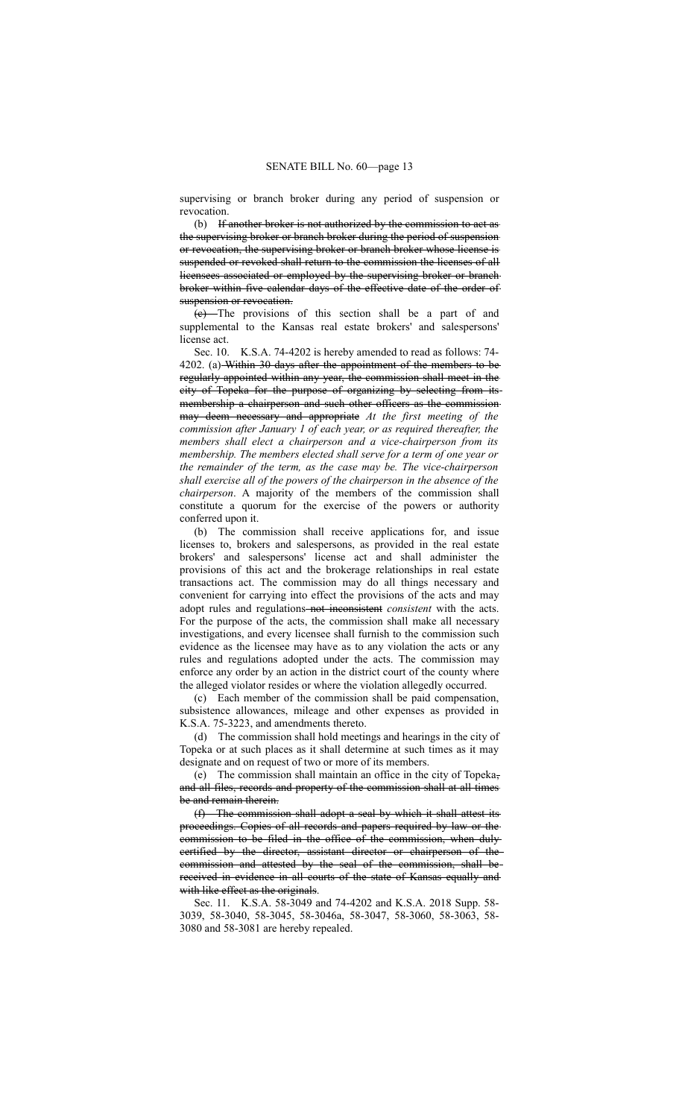supervising or branch broker during any period of suspension or revocation.

(b) If another broker is not authorized by the commission to act as the supervising broker or branch broker during the period of suspension or revocation, the supervising broker or branch broker whose license is suspended or revoked shall return to the commission the licenses of all licensees associated or employed by the supervising broker or branch broker within five calendar days of the effective date of the order of suspension or revocation.

(c) The provisions of this section shall be a part of and supplemental to the Kansas real estate brokers' and salespersons' license act.

Sec. 10. K.S.A. 74-4202 is hereby amended to read as follows: 74- 4202. (a) Within 30 days after the appointment of the members to be regularly appointed within any year, the commission shall meet in the city of Topeka for the purpose of organizing by selecting from its membership a chairperson and such other officers as the commission may deem necessary and appropriate *At the first meeting of the commission after January 1 of each year, or as required thereafter, the members shall elect a chairperson and a vice-chairperson from its membership. The members elected shall serve for a term of one year or the remainder of the term, as the case may be. The vice-chairperson shall exercise all of the powers of the chairperson in the absence of the chairperson*. A majority of the members of the commission shall constitute a quorum for the exercise of the powers or authority conferred upon it.

(b) The commission shall receive applications for, and issue licenses to, brokers and salespersons, as provided in the real estate brokers' and salespersons' license act and shall administer the provisions of this act and the brokerage relationships in real estate transactions act. The commission may do all things necessary and convenient for carrying into effect the provisions of the acts and may adopt rules and regulations-not inconsistent *consistent* with the acts. For the purpose of the acts, the commission shall make all necessary investigations, and every licensee shall furnish to the commission such evidence as the licensee may have as to any violation the acts or any rules and regulations adopted under the acts. The commission may enforce any order by an action in the district court of the county where the alleged violator resides or where the violation allegedly occurred.

(c) Each member of the commission shall be paid compensation, subsistence allowances, mileage and other expenses as provided in K.S.A. 75-3223, and amendments thereto.

(d) The commission shall hold meetings and hearings in the city of Topeka or at such places as it shall determine at such times as it may designate and on request of two or more of its members.

(e) The commission shall maintain an office in the city of Topeka, and all files, records and property of the commission shall at all times be and remain therein.

(f) The commission shall adopt a seal by which it shall attest its proceedings. Copies of all records and papers required by law or the commission to be filed in the office of the commission, when duly certified by the director, assistant director or chairperson of the commission and attested by the seal of the commission, shall be received in evidence in all courts of the state of Kansas equally and with like effect as the originals.

Sec. 11. K.S.A. 58-3049 and 74-4202 and K.S.A. 2018 Supp. 58- 3039, 58-3040, 58-3045, 58-3046a, 58-3047, 58-3060, 58-3063, 58- 3080 and 58-3081 are hereby repealed.